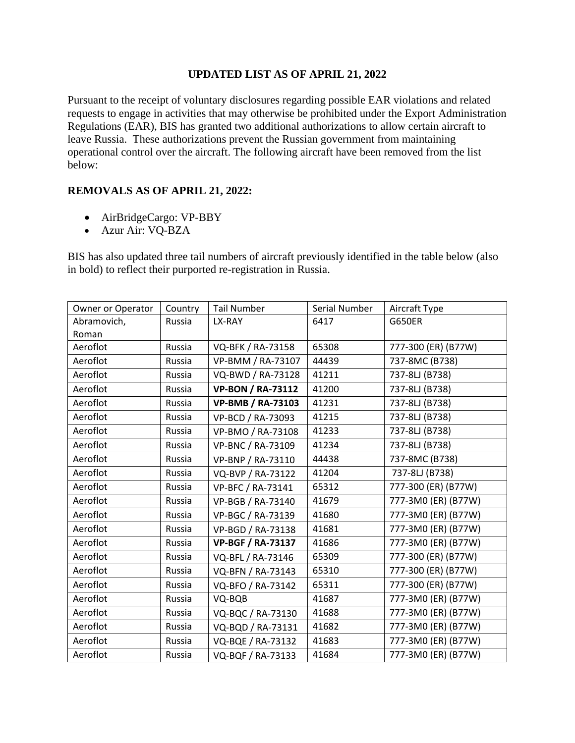## **UPDATED LIST AS OF APRIL 21, 2022**

Pursuant to the receipt of voluntary disclosures regarding possible EAR violations and related requests to engage in activities that may otherwise be prohibited under the Export Administration Regulations (EAR), BIS has granted two additional authorizations to allow certain aircraft to leave Russia. These authorizations prevent the Russian government from maintaining operational control over the aircraft. The following aircraft have been removed from the list below:

## **REMOVALS AS OF APRIL 21, 2022:**

- AirBridgeCargo: VP-BBY
- Azur Air: VQ-BZA

BIS has also updated three tail numbers of aircraft previously identified in the table below (also in bold) to reflect their purported re-registration in Russia.

| Owner or Operator | Country | <b>Tail Number</b>       | Serial Number | Aircraft Type       |
|-------------------|---------|--------------------------|---------------|---------------------|
| Abramovich,       | Russia  | LX-RAY                   | 6417          | <b>G650ER</b>       |
| Roman             |         |                          |               |                     |
| Aeroflot          | Russia  | VQ-BFK / RA-73158        | 65308         | 777-300 (ER) (B77W) |
| Aeroflot          | Russia  | VP-BMM / RA-73107        | 44439         | 737-8MC (B738)      |
| Aeroflot          | Russia  | VQ-BWD / RA-73128        | 41211         | 737-8LJ (B738)      |
| Aeroflot          | Russia  | <b>VP-BON / RA-73112</b> | 41200         | 737-8LJ (B738)      |
| Aeroflot          | Russia  | <b>VP-BMB / RA-73103</b> | 41231         | 737-8LJ (B738)      |
| Aeroflot          | Russia  | VP-BCD / RA-73093        | 41215         | 737-8LJ (B738)      |
| Aeroflot          | Russia  | VP-BMO / RA-73108        | 41233         | 737-8LJ (B738)      |
| Aeroflot          | Russia  | VP-BNC / RA-73109        | 41234         | 737-8LJ (B738)      |
| Aeroflot          | Russia  | VP-BNP / RA-73110        | 44438         | 737-8MC (B738)      |
| Aeroflot          | Russia  | VQ-BVP / RA-73122        | 41204         | 737-8LJ (B738)      |
| Aeroflot          | Russia  | VP-BFC / RA-73141        | 65312         | 777-300 (ER) (B77W) |
| Aeroflot          | Russia  | VP-BGB / RA-73140        | 41679         | 777-3M0 (ER) (B77W) |
| Aeroflot          | Russia  | VP-BGC / RA-73139        | 41680         | 777-3M0 (ER) (B77W) |
| Aeroflot          | Russia  | VP-BGD / RA-73138        | 41681         | 777-3M0 (ER) (B77W) |
| Aeroflot          | Russia  | <b>VP-BGF / RA-73137</b> | 41686         | 777-3M0 (ER) (B77W) |
| Aeroflot          | Russia  | VQ-BFL / RA-73146        | 65309         | 777-300 (ER) (B77W) |
| Aeroflot          | Russia  | VQ-BFN / RA-73143        | 65310         | 777-300 (ER) (B77W) |
| Aeroflot          | Russia  | VQ-BFO / RA-73142        | 65311         | 777-300 (ER) (B77W) |
| Aeroflot          | Russia  | VQ-BQB                   | 41687         | 777-3M0 (ER) (B77W) |
| Aeroflot          | Russia  | VQ-BQC / RA-73130        | 41688         | 777-3M0 (ER) (B77W) |
| Aeroflot          | Russia  | VQ-BQD / RA-73131        | 41682         | 777-3M0 (ER) (B77W) |
| Aeroflot          | Russia  | VQ-BQE / RA-73132        | 41683         | 777-3M0 (ER) (B77W) |
| Aeroflot          | Russia  | VQ-BQF / RA-73133        | 41684         | 777-3M0 (ER) (B77W) |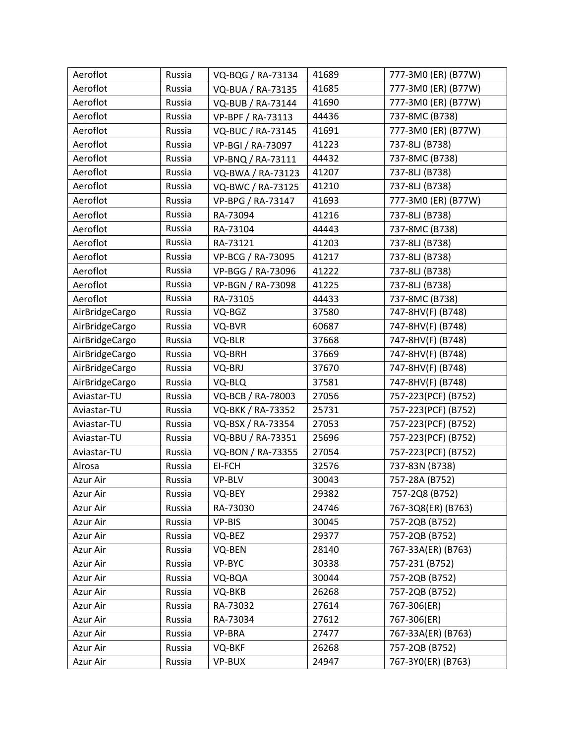| Aeroflot       | Russia | VQ-BQG / RA-73134 | 41689 | 777-3M0 (ER) (B77W) |
|----------------|--------|-------------------|-------|---------------------|
| Aeroflot       | Russia | VQ-BUA / RA-73135 | 41685 | 777-3M0 (ER) (B77W) |
| Aeroflot       | Russia | VQ-BUB / RA-73144 | 41690 | 777-3M0 (ER) (B77W) |
| Aeroflot       | Russia | VP-BPF / RA-73113 | 44436 | 737-8MC (B738)      |
| Aeroflot       | Russia | VQ-BUC / RA-73145 | 41691 | 777-3M0 (ER) (B77W) |
| Aeroflot       | Russia | VP-BGI / RA-73097 | 41223 | 737-8LJ (B738)      |
| Aeroflot       | Russia | VP-BNQ / RA-73111 | 44432 | 737-8MC (B738)      |
| Aeroflot       | Russia | VQ-BWA / RA-73123 | 41207 | 737-8LJ (B738)      |
| Aeroflot       | Russia | VQ-BWC / RA-73125 | 41210 | 737-8LJ (B738)      |
| Aeroflot       | Russia | VP-BPG / RA-73147 | 41693 | 777-3M0 (ER) (B77W) |
| Aeroflot       | Russia | RA-73094          | 41216 | 737-8LJ (B738)      |
| Aeroflot       | Russia | RA-73104          | 44443 | 737-8MC (B738)      |
| Aeroflot       | Russia | RA-73121          | 41203 | 737-8LJ (B738)      |
| Aeroflot       | Russia | VP-BCG / RA-73095 | 41217 | 737-8LJ (B738)      |
| Aeroflot       | Russia | VP-BGG / RA-73096 | 41222 | 737-8LJ (B738)      |
| Aeroflot       | Russia | VP-BGN / RA-73098 | 41225 | 737-8LJ (B738)      |
| Aeroflot       | Russia | RA-73105          | 44433 | 737-8MC (B738)      |
| AirBridgeCargo | Russia | VQ-BGZ            | 37580 | 747-8HV(F) (B748)   |
| AirBridgeCargo | Russia | VQ-BVR            | 60687 | 747-8HV(F) (B748)   |
| AirBridgeCargo | Russia | VQ-BLR            | 37668 | 747-8HV(F) (B748)   |
| AirBridgeCargo | Russia | VQ-BRH            | 37669 | 747-8HV(F) (B748)   |
| AirBridgeCargo | Russia | VQ-BRJ            | 37670 | 747-8HV(F) (B748)   |
| AirBridgeCargo | Russia | VQ-BLQ            | 37581 | 747-8HV(F) (B748)   |
| Aviastar-TU    | Russia | VQ-BCB / RA-78003 | 27056 | 757-223(PCF) (B752) |
| Aviastar-TU    | Russia | VQ-BKK / RA-73352 | 25731 | 757-223(PCF) (B752) |
| Aviastar-TU    | Russia | VQ-BSX / RA-73354 | 27053 | 757-223(PCF) (B752) |
| Aviastar-TU    | Russia | VQ-BBU / RA-73351 | 25696 | 757-223(PCF) (B752) |
| Aviastar-TU    | Russia | VQ-BON / RA-73355 | 27054 | 757-223(PCF) (B752) |
| Alrosa         | Russia | EI-FCH            | 32576 | 737-83N (B738)      |
| Azur Air       | Russia | VP-BLV            | 30043 | 757-28A (B752)      |
| Azur Air       | Russia | VQ-BEY            | 29382 | 757-2Q8 (B752)      |
| Azur Air       | Russia | RA-73030          | 24746 | 767-3Q8(ER) (B763)  |
| Azur Air       | Russia | VP-BIS            | 30045 | 757-2QB (B752)      |
| Azur Air       | Russia | VQ-BEZ            | 29377 | 757-2QB (B752)      |
| Azur Air       | Russia | VQ-BEN            | 28140 | 767-33A(ER) (B763)  |
| Azur Air       | Russia | VP-BYC            | 30338 | 757-231 (B752)      |
| Azur Air       | Russia | VQ-BQA            | 30044 | 757-2QB (B752)      |
| Azur Air       | Russia | VQ-BKB            | 26268 | 757-2QB (B752)      |
| Azur Air       | Russia | RA-73032          | 27614 | 767-306(ER)         |
| Azur Air       | Russia | RA-73034          | 27612 | 767-306(ER)         |
| Azur Air       | Russia | VP-BRA            | 27477 | 767-33A(ER) (B763)  |
| Azur Air       | Russia | VQ-BKF            | 26268 | 757-2QB (B752)      |
| Azur Air       | Russia | VP-BUX            | 24947 | 767-3YO(ER) (B763)  |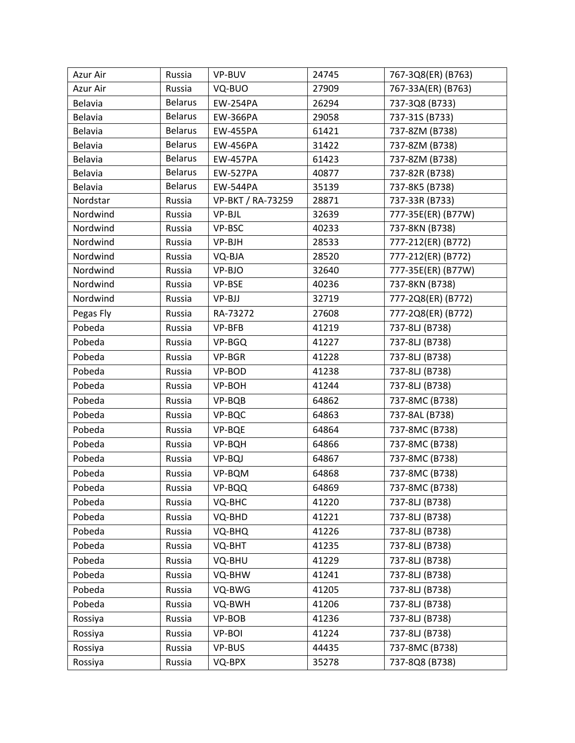| Azur Air  | Russia         | VP-BUV                   | 24745 | 767-3Q8(ER) (B763) |
|-----------|----------------|--------------------------|-------|--------------------|
| Azur Air  | Russia         | VQ-BUO                   | 27909 | 767-33A(ER) (B763) |
| Belavia   | <b>Belarus</b> | <b>EW-254PA</b>          | 26294 | 737-3Q8 (B733)     |
| Belavia   | <b>Belarus</b> | <b>EW-366PA</b>          | 29058 | 737-31S (B733)     |
| Belavia   | <b>Belarus</b> | <b>EW-455PA</b>          | 61421 | 737-8ZM (B738)     |
| Belavia   | <b>Belarus</b> | <b>EW-456PA</b>          | 31422 | 737-8ZM (B738)     |
| Belavia   | <b>Belarus</b> | <b>EW-457PA</b>          | 61423 | 737-8ZM (B738)     |
| Belavia   | <b>Belarus</b> | <b>EW-527PA</b>          | 40877 | 737-82R (B738)     |
| Belavia   | <b>Belarus</b> | <b>EW-544PA</b>          | 35139 | 737-8K5 (B738)     |
| Nordstar  | Russia         | <b>VP-BKT / RA-73259</b> | 28871 | 737-33R (B733)     |
| Nordwind  | Russia         | VP-BJL                   | 32639 | 777-35E(ER) (B77W) |
| Nordwind  | Russia         | VP-BSC                   | 40233 | 737-8KN (B738)     |
| Nordwind  | Russia         | VP-BJH                   | 28533 | 777-212(ER) (B772) |
| Nordwind  | Russia         | VQ-BJA                   | 28520 | 777-212(ER) (B772) |
| Nordwind  | Russia         | VP-BJO                   | 32640 | 777-35E(ER) (B77W) |
| Nordwind  | Russia         | VP-BSE                   | 40236 | 737-8KN (B738)     |
| Nordwind  | Russia         | VP-BJJ                   | 32719 | 777-2Q8(ER) (B772) |
| Pegas Fly | Russia         | RA-73272                 | 27608 | 777-2Q8(ER) (B772) |
| Pobeda    | Russia         | VP-BFB                   | 41219 | 737-8LJ (B738)     |
| Pobeda    | Russia         | VP-BGQ                   | 41227 | 737-8LJ (B738)     |
| Pobeda    | Russia         | VP-BGR                   | 41228 | 737-8LJ (B738)     |
| Pobeda    | Russia         | VP-BOD                   | 41238 | 737-8LJ (B738)     |
| Pobeda    | Russia         | VP-BOH                   | 41244 | 737-8LJ (B738)     |
| Pobeda    | Russia         | VP-BQB                   | 64862 | 737-8MC (B738)     |
| Pobeda    | Russia         | VP-BQC                   | 64863 | 737-8AL (B738)     |
| Pobeda    | Russia         | VP-BQE                   | 64864 | 737-8MC (B738)     |
| Pobeda    | Russia         | VP-BQH                   | 64866 | 737-8MC (B738)     |
| Pobeda    | Russia         | VP-BQJ                   | 64867 | 737-8MC (B738)     |
| Pobeda    | Russia         | VP-BQM                   | 64868 | 737-8MC (B738)     |
| Pobeda    | Russia         | VP-BQQ                   | 64869 | 737-8MC (B738)     |
| Pobeda    | Russia         | VQ-BHC                   | 41220 | 737-8LJ (B738)     |
| Pobeda    | Russia         | VQ-BHD                   | 41221 | 737-8LJ (B738)     |
| Pobeda    | Russia         | VQ-BHQ                   | 41226 | 737-8LJ (B738)     |
| Pobeda    | Russia         | VQ-BHT                   | 41235 | 737-8LJ (B738)     |
| Pobeda    | Russia         | VQ-BHU                   | 41229 | 737-8LJ (B738)     |
| Pobeda    | Russia         | VQ-BHW                   | 41241 | 737-8LJ (B738)     |
| Pobeda    | Russia         | VQ-BWG                   | 41205 | 737-8LJ (B738)     |
| Pobeda    | Russia         | VQ-BWH                   | 41206 | 737-8LJ (B738)     |
| Rossiya   | Russia         | VP-BOB                   | 41236 | 737-8LJ (B738)     |
| Rossiya   | Russia         | VP-BOI                   | 41224 | 737-8LJ (B738)     |
| Rossiya   | Russia         | VP-BUS                   | 44435 | 737-8MC (B738)     |
| Rossiya   | Russia         | VQ-BPX                   | 35278 | 737-8Q8 (B738)     |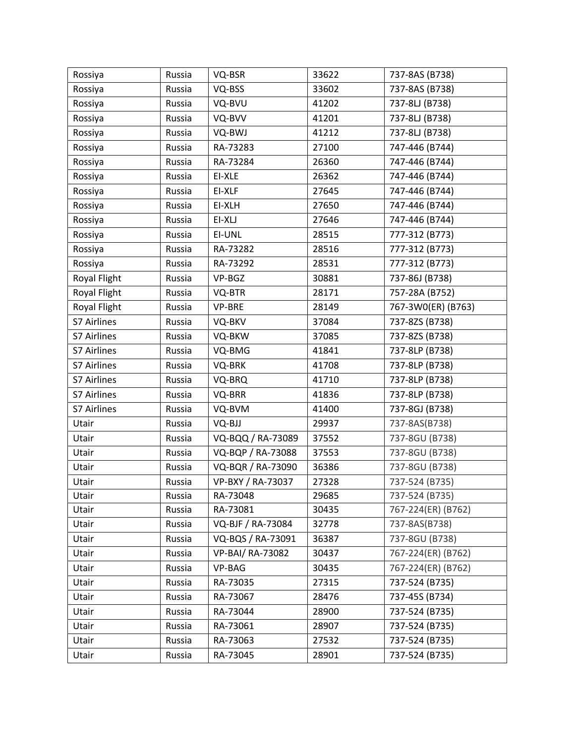| Rossiya      | Russia | VQ-BSR            | 33622 | 737-8AS (B738)     |
|--------------|--------|-------------------|-------|--------------------|
| Rossiya      | Russia | VQ-BSS            | 33602 | 737-8AS (B738)     |
| Rossiya      | Russia | VQ-BVU            | 41202 | 737-8LJ (B738)     |
| Rossiya      | Russia | VQ-BVV            | 41201 | 737-8LJ (B738)     |
| Rossiya      | Russia | VQ-BWJ            | 41212 | 737-8LJ (B738)     |
| Rossiya      | Russia | RA-73283          | 27100 | 747-446 (B744)     |
| Rossiya      | Russia | RA-73284          | 26360 | 747-446 (B744)     |
| Rossiya      | Russia | EI-XLE            | 26362 | 747-446 (B744)     |
| Rossiya      | Russia | EI-XLF            | 27645 | 747-446 (B744)     |
| Rossiya      | Russia | EI-XLH            | 27650 | 747-446 (B744)     |
| Rossiya      | Russia | EI-XLJ            | 27646 | 747-446 (B744)     |
| Rossiya      | Russia | EI-UNL            | 28515 | 777-312 (B773)     |
| Rossiya      | Russia | RA-73282          | 28516 | 777-312 (B773)     |
| Rossiya      | Russia | RA-73292          | 28531 | 777-312 (B773)     |
| Royal Flight | Russia | VP-BGZ            | 30881 | 737-86J (B738)     |
| Royal Flight | Russia | VQ-BTR            | 28171 | 757-28A (B752)     |
| Royal Flight | Russia | VP-BRE            | 28149 | 767-3W0(ER) (B763) |
| S7 Airlines  | Russia | VQ-BKV            | 37084 | 737-8ZS (B738)     |
| S7 Airlines  | Russia | VQ-BKW            | 37085 | 737-8ZS (B738)     |
| S7 Airlines  | Russia | VQ-BMG            | 41841 | 737-8LP (B738)     |
| S7 Airlines  | Russia | VQ-BRK            | 41708 | 737-8LP (B738)     |
| S7 Airlines  | Russia | VQ-BRQ            | 41710 | 737-8LP (B738)     |
| S7 Airlines  | Russia | VQ-BRR            | 41836 | 737-8LP (B738)     |
| S7 Airlines  | Russia | VQ-BVM            | 41400 | 737-8GJ (B738)     |
| Utair        | Russia | VQ-BJJ            | 29937 | 737-8AS(B738)      |
| Utair        | Russia | VQ-BQQ / RA-73089 | 37552 | 737-8GU (B738)     |
| Utair        | Russia | VQ-BQP / RA-73088 | 37553 | 737-8GU (B738)     |
| Utair        | Russia | VQ-BQR / RA-73090 | 36386 | 737-8GU (B738)     |
| Utair        | Russia | VP-BXY / RA-73037 | 27328 | 737-524 (B735)     |
| Utair        | Russia | RA-73048          | 29685 | 737-524 (B735)     |
| Utair        | Russia | RA-73081          | 30435 | 767-224(ER) (B762) |
| Utair        | Russia | VQ-BJF / RA-73084 | 32778 | 737-8AS(B738)      |
| Utair        | Russia | VQ-BQS / RA-73091 | 36387 | 737-8GU (B738)     |
| Utair        | Russia | VP-BAI/ RA-73082  | 30437 | 767-224(ER) (B762) |
| Utair        | Russia | VP-BAG            | 30435 | 767-224(ER) (B762) |
| Utair        | Russia | RA-73035          | 27315 | 737-524 (B735)     |
| Utair        | Russia | RA-73067          | 28476 | 737-45S (B734)     |
| Utair        | Russia | RA-73044          | 28900 | 737-524 (B735)     |
| Utair        | Russia | RA-73061          | 28907 | 737-524 (B735)     |
| Utair        | Russia | RA-73063          | 27532 | 737-524 (B735)     |
| Utair        | Russia | RA-73045          | 28901 | 737-524 (B735)     |